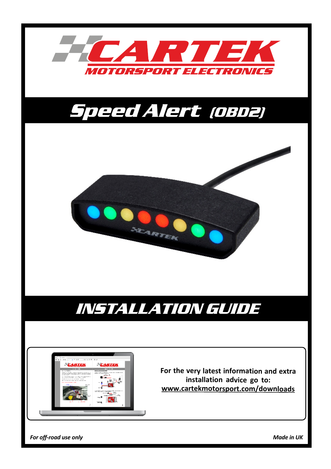

*For off-road use only Made in UK*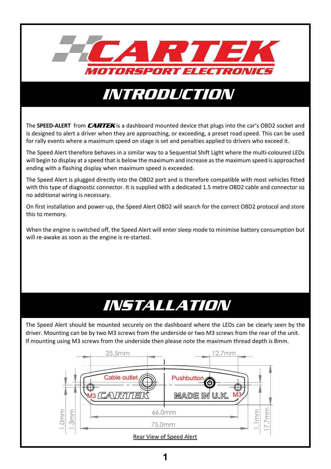

## INTRODUCTION

The **SPEED-ALERT** from **CARTEK** is a dashboard mounted device that plugs into the car's OBD2 socket and is designed to alert a driver when they are approaching, or exceeding, a preset road speed. This can be used for rally events where a maximum speed on stage is set and penalties applied to drivers who exceed it.

The Speed Alert therefore behaves in a similar way to a Sequential Shift Light where the multi-coloured LEDs will begin to display at a speed that is below the maximum and increase as the maximum speed is approached ending with a flashing display when maximum speed is exceeded.

The Speed Alert is plugged directly into the OBD2 port and is therefore compatible with most vehicles fitted with this type of diagnostic connector. It is supplied with a dedicated 1.5 metre OBD2 cable and connector so no additional wiring is necessary.

On first installation and power-up, the Speed Alert OBD2 will search for the correct OBD2 protocol and store this to memory.

When the engine is switched off, the Speed Alert will enter sleep mode to minimise battery consumption but will re-awake as soon as the engine is re-started.

# *INSTALLATION*

The Speed Alert should be mounted securely on the dashboard where the LEDs can be clearly seen by the driver. Mounting can be by two M3 screws from the underside or two M3 screws from the rear of the unit. If mounting using M3 screws from the underside then please note the maximum thread depth is 8mm.

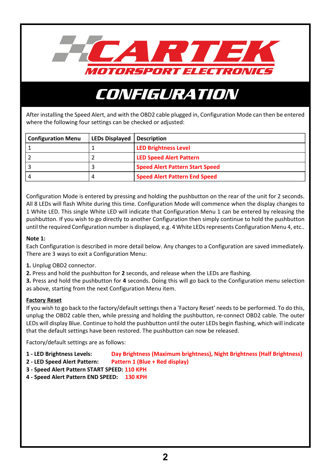

# **CONFIGURATION**

After installing the Speed Alert, and with the OBD2 cable plugged in, Configuration Mode can then be entered where the following four settings can be checked or adjusted:

| <b>Configuration Menu</b> | <b>LEDs Displayed   Description</b> |                                        |
|---------------------------|-------------------------------------|----------------------------------------|
|                           |                                     | <b>LED Brightness Level</b>            |
|                           |                                     | <b>LED Speed Alert Pattern</b>         |
|                           |                                     | <b>Speed Alert Pattern Start Speed</b> |
|                           |                                     | <b>Speed Alert Pattern End Speed</b>   |

Configuration Mode is entered by pressing and holding the pushbutton on the rear of the unit for 2 seconds. All 8 LEDs will flash White during this time. Configuration Mode will commence when the display changes to 1 White LED. This single White LED will indicate that Configuration Menu 1 can be entered by releasing the pushbutton. If you wish to go directly to another Configuration then simply continue to hold the pushbutton until the required Configuration number is displayed, e.g. 4 White LEDs represents Configuration Menu 4, etc..

#### **Note 1:**

Each Configuration is described in more detail below. Any changes to a Configuration are saved immediately. There are 3 ways to exit a Configuration Menu:

- **1.** Unplug OBD2 connector.
- **2.** Press and hold the pushbutton for **2** seconds, and release when the LEDs are flashing.

**3.** Press and hold the pushbutton for **4** seconds. Doing this will go back to the Configuration menu selection as above, starting from the next Configuration Menu item.

#### **Factory Reset**

If you wish to go back to the factory/default settings then a 'Factory Reset' needs to be performed. To do this, unplug the OBD2 cable then, while pressing and holding the pushbutton, re-connect OBD2 cable. The outer LEDs will display Blue. Continue to hold the pushbutton until the outer LEDs begin flashing, which will indicate that the default settings have been restored. The pushbutton can now be released.

Factory/default settings are as follows:

- **1 LED Brightness Levels: Day Brightness (Maximum brightness), Night Brightness (Half Brightness)**
- **2 LED Speed Alert Pattern: Pattern 1 (Blue + Red display)**
- **3 Speed Alert Pattern START SPEED: 110 KPH**
- **4 Speed Alert Pattern END SPEED: 130 KPH**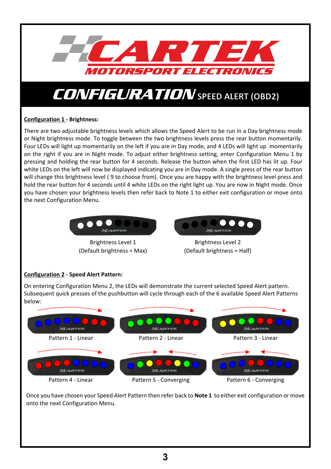

## **Configuration 1 - Brightness:**

There are two adjustable brightness levels which allows the Speed Alert to be run in a Day brightness mode or Night brightness mode. To toggle between the two brightness levels press the rear button momentarily. Four LEDs will light up momentarily on the left if you are in Day mode, and 4 LEDs will light up momentarily on the right if you are in Night mode. To adjust either brightness setting, enter Configuration Menu 1 by pressing and holding the rear button for 4 seconds. Release the button when the first LED has lit up. Four white LEDs on the left will now be displayed indicating you are in Day mode. A single press of the rear button will change this brightness level ( 9 to choose from). Once you are happy with the brightness level press and hold the rear button for 4 seconds until 4 white LEDs on the right light up. You are now in Night mode. Once you have chosen your brightness levels then refer back to Note 1 to either exit configuration or move onto the next Configuration Menu.



Brightness Level 1 (Default brightness = Max)



Brightness Level 2 (Default brightness = Half)

## **Configuration 2 - Speed Alert Pattern:**

On entering Configuration Menu 2, the LEDs will demonstrate the current selected Speed Alert pattern. Subsequent quick presses of the pushbutton will cycle through each of the 6 available Speed Alert Patterns below:



Once you have chosen your Speed Alert Pattern then refer back to **Note 1** to either exit configuration or move onto the next Configuration Menu.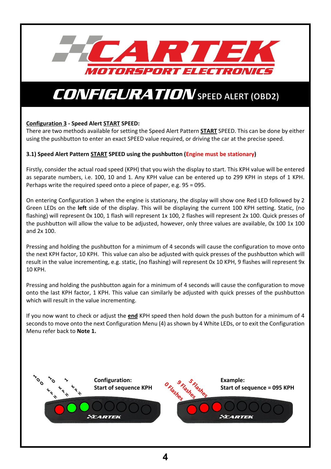

## **Configuration 3 - Speed Alert START SPEED:**

There are two methods available for setting the Speed Alert Pattern **START** SPEED. This can be done by either using the pushbutton to enter an exact SPEED value required, or driving the car at the precise speed.

#### **3.1) Speed Alert Pattern START SPEED using the pushbutton (Engine must be stationary)**

Firstly, consider the actual road speed (KPH) that you wish the display to start. This KPH value will be entered as separate numbers, i.e. 100, 10 and 1. Any KPH value can be entered up to 299 KPH in steps of 1 KPH. Perhaps write the required speed onto a piece of paper, e.g. 95 = 095.

On entering Configuration 3 when the engine is stationary, the display will show one Red LED followed by 2 Green LEDs on the **left** side of the display. This will be displaying the current 100 KPH setting. Static, (no flashing) will represent 0x 100, 1 flash will represent 1x 100, 2 flashes will represent 2x 100. Quick presses of the pushbutton will allow the value to be adjusted, however, only three values are available, 0x 100 1x 100 and 2x 100.

Pressing and holding the pushbutton for a minimum of 4 seconds will cause the configuration to move onto the next KPH factor, 10 KPH. This value can also be adjusted with quick presses of the pushbutton which will result in the value incrementing, e.g. static, (no flashing) will represent 0x 10 KPH, 9 flashes will represent 9x 10 KPH.

Pressing and holding the pushbutton again for a minimum of 4 seconds will cause the configuration to move onto the last KPH factor, 1 KPH. This value can similarly be adjusted with quick presses of the pushbutton which will result in the value incrementing.

If you now want to check or adjust the **end** KPH speed then hold down the push button for a minimum of 4 seconds to move onto the next Configuration Menu (4) as shown by 4 White LEDs, or to exit the Configuration Menu refer back to **Note 1.**

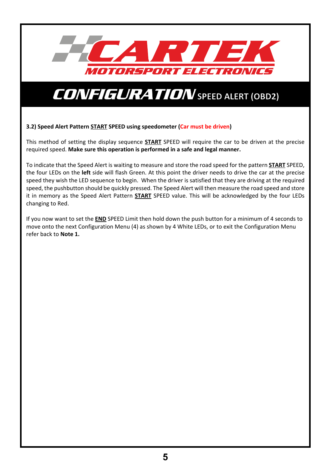

#### **3.2) Speed Alert Pattern START SPEED using speedometer (Car must be driven)**

This method of setting the display sequence **START** SPEED will require the car to be driven at the precise required speed. **Make sure this operation is performed in a safe and legal manner.**

To indicate that the Speed Alert is waiting to measure and store the road speed for the pattern **START** SPEED, the four LEDs on the **left** side will flash Green. At this point the driver needs to drive the car at the precise speed they wish the LED sequence to begin. When the driver is satisfied that they are driving at the required speed, the pushbutton should be quickly pressed. The Speed Alert will then measure the road speed and store it in memory as the Speed Alert Pattern **START** SPEED value. This will be acknowledged by the four LEDs changing to Red.

If you now want to set the **END** SPEED Limit then hold down the push button for a minimum of 4 seconds to move onto the next Configuration Menu (4) as shown by 4 White LEDs, or to exit the Configuration Menu refer back to **Note 1.**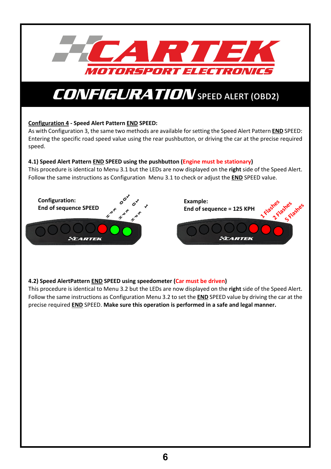

## **Configuration 4 - Speed Alert Pattern END SPEED:**

As with Configuration 3, the same two methods are available for setting the Speed Alert Pattern **END** SPEED: Entering the specific road speed value using the rear pushbutton, or driving the car at the precise required speed.

#### **4.1) Speed Alert Pattern END SPEED using the pushbutton (Engine must be stationary)**

This procedure is identical to Menu 3.1 but the LEDs are now displayed on the **right** side of the Speed Alert. Follow the same instructions as Configuration Menu 3.1 to check or adjust the **END** SPEED value.



## **4.2) Speed AlertPattern END SPEED using speedometer (Car must be driven)**

This procedure is identical to Menu 3.2 but the LEDs are now displayed on the **right** side of the Speed Alert. Follow the same instructions as Configuration Menu 3.2 to set the **END** SPEED value by driving the car at the precise required **END** SPEED. **Make sure this operation is performed in a safe and legal manner.**